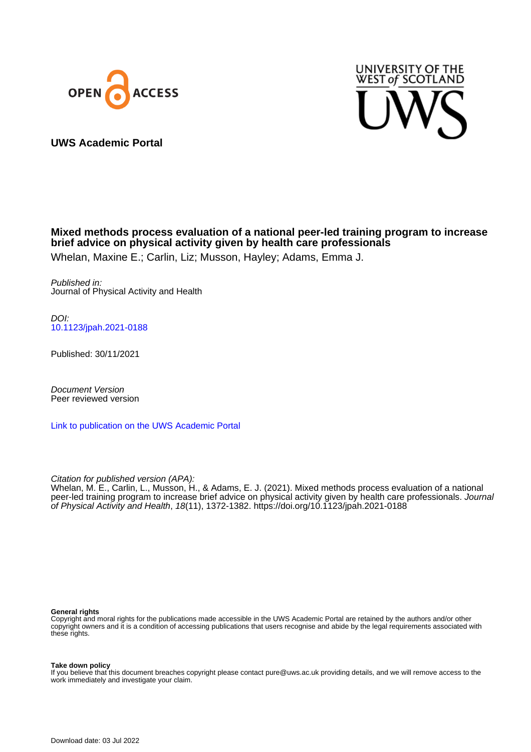



**UWS Academic Portal**

# **Mixed methods process evaluation of a national peer-led training program to increase brief advice on physical activity given by health care professionals**

Whelan, Maxine E.; Carlin, Liz; Musson, Hayley; Adams, Emma J.

Published in: Journal of Physical Activity and Health

DOI: [10.1123/jpah.2021-0188](https://doi.org/10.1123/jpah.2021-0188)

Published: 30/11/2021

Document Version Peer reviewed version

[Link to publication on the UWS Academic Portal](https://uws.pure.elsevier.com/en/publications/0a641a5b-8893-4217-b5db-470a538c8bbc)

Citation for published version (APA):

Whelan, M. E., Carlin, L., Musson, H., & Adams, E. J. (2021). Mixed methods process evaluation of a national peer-led training program to increase brief advice on physical activity given by health care professionals. Journal of Physical Activity and Health, 18(11), 1372-1382.<https://doi.org/10.1123/jpah.2021-0188>

#### **General rights**

Copyright and moral rights for the publications made accessible in the UWS Academic Portal are retained by the authors and/or other copyright owners and it is a condition of accessing publications that users recognise and abide by the legal requirements associated with these rights.

**Take down policy**

If you believe that this document breaches copyright please contact pure@uws.ac.uk providing details, and we will remove access to the work immediately and investigate your claim.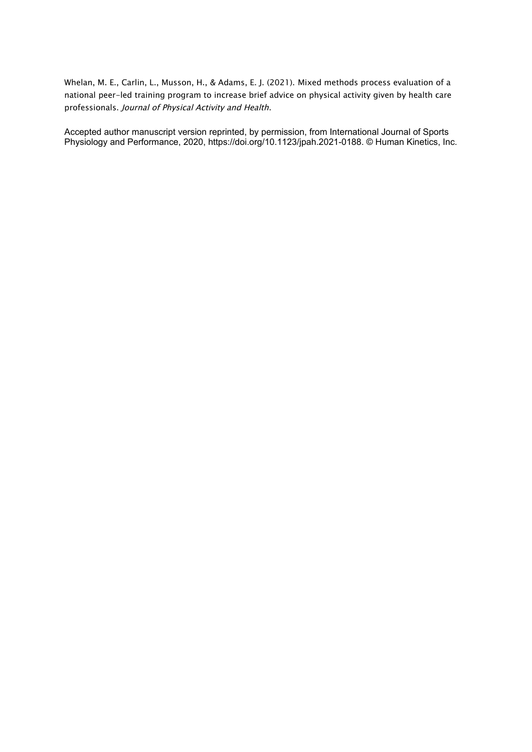Whelan, M. E., Carlin, L., Musson, H., & Adams, E. J. (2021). Mixed methods process evaluation of a national peer-led training program to increase brief advice on physical activity given by health care professionals. Journal of Physical Activity and Health.

Accepted author manuscript version reprinted, by permission, from International Journal of Sports Physiology and Performance, 2020, https://doi.org/10.1123/jpah.2021-0188. © Human Kinetics, Inc.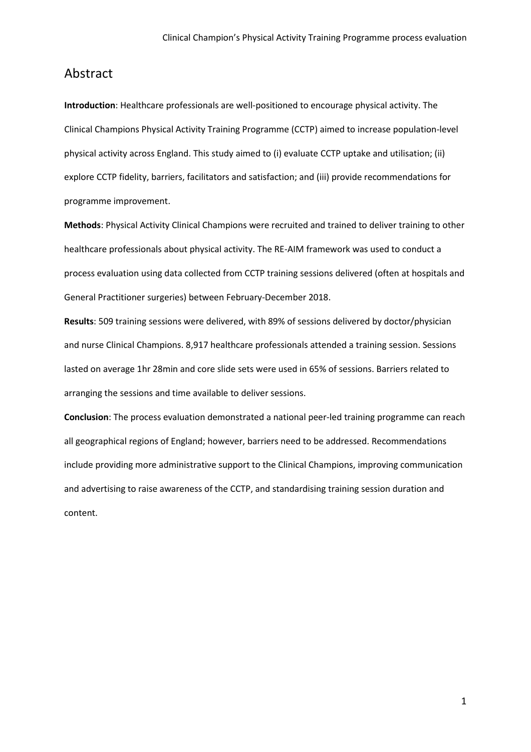### Abstract

**Introduction**: Healthcare professionals are well-positioned to encourage physical activity. The Clinical Champions Physical Activity Training Programme (CCTP) aimed to increase population-level physical activity across England. This study aimed to (i) evaluate CCTP uptake and utilisation; (ii) explore CCTP fidelity, barriers, facilitators and satisfaction; and (iii) provide recommendations for programme improvement.

**Methods**: Physical Activity Clinical Champions were recruited and trained to deliver training to other healthcare professionals about physical activity. The RE-AIM framework was used to conduct a process evaluation using data collected from CCTP training sessions delivered (often at hospitals and General Practitioner surgeries) between February-December 2018.

**Results**: 509 training sessions were delivered, with 89% of sessions delivered by doctor/physician and nurse Clinical Champions. 8,917 healthcare professionals attended a training session. Sessions lasted on average 1hr 28min and core slide sets were used in 65% of sessions. Barriers related to arranging the sessions and time available to deliver sessions.

**Conclusion**: The process evaluation demonstrated a national peer-led training programme can reach all geographical regions of England; however, barriers need to be addressed. Recommendations include providing more administrative support to the Clinical Champions, improving communication and advertising to raise awareness of the CCTP, and standardising training session duration and content.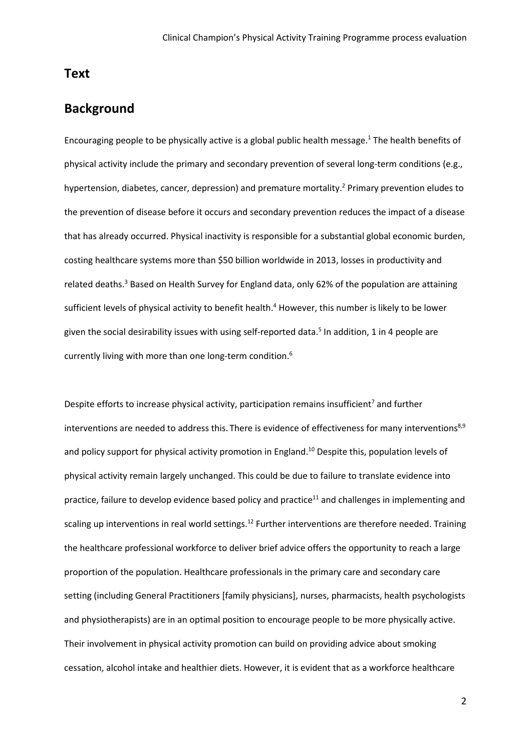### **Text**

## **Background**

Encouraging people to be physically active is a global public health message.1 The health benefits of physical activity include the primary and secondary prevention of several long-term conditions (e.g., hypertension, diabetes, cancer, depression) and premature mortality. <sup>2</sup> Primary prevention eludes to the prevention of disease before it occurs and secondary prevention reduces the impact of a disease that has already occurred. Physical inactivity is responsible for a substantial global economic burden, costing healthcare systems more than \$50 billion worldwide in 2013, losses in productivity and related deaths.<sup>3</sup> Based on Health Survey for England data, only 62% of the population are attaining sufficient levels of physical activity to benefit health. <sup>4</sup> However, this number is likely to be lower given the social desirability issues with using self-reported data.<sup>5</sup> In addition, 1 in 4 people are currently living with more than one long-term condition. $^6$ 

Despite efforts to increase physical activity, participation remains insufficient<sup>7</sup> and further interventions are needed to address this. There is evidence of effectiveness for many interventions<sup>8,9</sup> and policy support for physical activity promotion in England. <sup>10</sup> Despite this, population levels of physical activity remain largely unchanged. This could be due to failure to translate evidence into practice, failure to develop evidence based policy and practice<sup>11</sup> and challenges in implementing and scaling up interventions in real world settings.<sup>12</sup> Further interventions are therefore needed. Training the healthcare professional workforce to deliver brief advice offers the opportunity to reach a large proportion of the population. Healthcare professionals in the primary care and secondary care setting (including General Practitioners [family physicians], nurses, pharmacists, health psychologists and physiotherapists) are in an optimal position to encourage people to be more physically active. Their involvement in physical activity promotion can build on providing advice about smoking cessation, alcohol intake and healthier diets. However, it is evident that as a workforce healthcare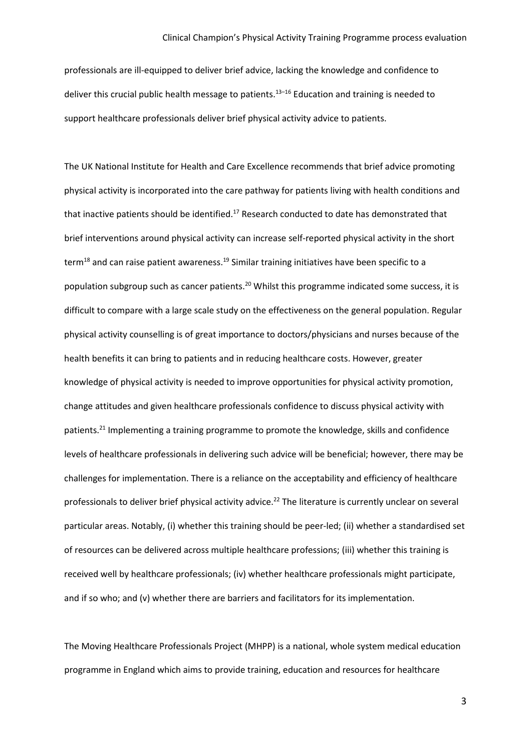professionals are ill-equipped to deliver brief advice, lacking the knowledge and confidence to deliver this crucial public health message to patients. 13–16 Education and training is needed to support healthcare professionals deliver brief physical activity advice to patients.

The UK National Institute for Health and Care Excellence recommends that brief advice promoting physical activity is incorporated into the care pathway for patients living with health conditions and that inactive patients should be identified.<sup>17</sup> Research conducted to date has demonstrated that brief interventions around physical activity can increase self-reported physical activity in the short term<sup>18</sup> and can raise patient awareness.<sup>19</sup> Similar training initiatives have been specific to a population subgroup such as cancer patients.<sup>20</sup> Whilst this programme indicated some success, it is difficult to compare with a large scale study on the effectiveness on the general population. Regular physical activity counselling is of great importance to doctors/physicians and nurses because of the health benefits it can bring to patients and in reducing healthcare costs. However, greater knowledge of physical activity is needed to improve opportunities for physical activity promotion, change attitudes and given healthcare professionals confidence to discuss physical activity with patients.<sup>21</sup> Implementing a training programme to promote the knowledge, skills and confidence levels of healthcare professionals in delivering such advice will be beneficial; however, there may be challenges for implementation. There is a reliance on the acceptability and efficiency of healthcare professionals to deliver brief physical activity advice.<sup>22</sup> The literature is currently unclear on several particular areas. Notably, (i) whether this training should be peer-led; (ii) whether a standardised set of resources can be delivered across multiple healthcare professions; (iii) whether this training is received well by healthcare professionals; (iv) whether healthcare professionals might participate, and if so who; and (v) whether there are barriers and facilitators for its implementation.

The Moving Healthcare Professionals Project (MHPP) is a national, whole system medical education programme in England which aims to provide training, education and resources for healthcare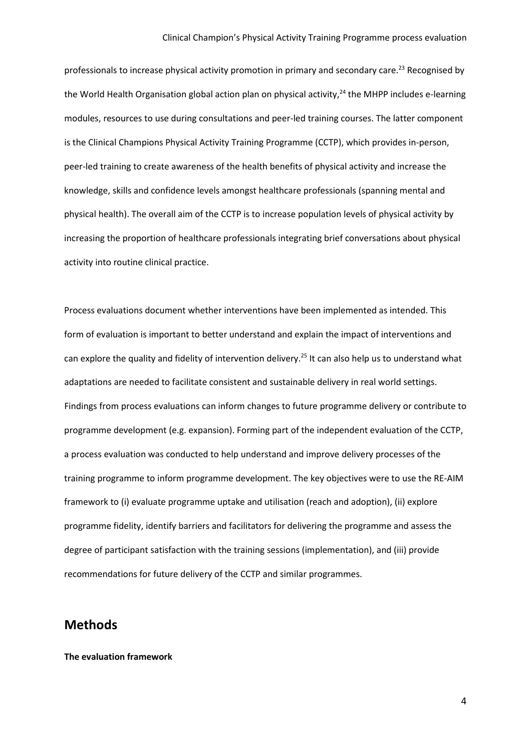professionals to increase physical activity promotion in primary and secondary care.<sup>23</sup> Recognised by the World Health Organisation global action plan on physical activity, $24$  the MHPP includes e-learning modules, resources to use during consultations and peer-led training courses. The latter component is the Clinical Champions Physical Activity Training Programme (CCTP), which provides in-person, peer-led training to create awareness of the health benefits of physical activity and increase the knowledge, skills and confidence levels amongst healthcare professionals (spanning mental and physical health). The overall aim of the CCTP is to increase population levels of physical activity by increasing the proportion of healthcare professionals integrating brief conversations about physical activity into routine clinical practice.

Process evaluations document whether interventions have been implemented as intended. This form of evaluation is important to better understand and explain the impact of interventions and can explore the quality and fidelity of intervention delivery. <sup>25</sup> It can also help us to understand what adaptations are needed to facilitate consistent and sustainable delivery in real world settings. Findings from process evaluations can inform changes to future programme delivery or contribute to programme development (e.g. expansion). Forming part of the independent evaluation of the CCTP, a process evaluation was conducted to help understand and improve delivery processes of the training programme to inform programme development. The key objectives were to use the RE-AIM framework to (i) evaluate programme uptake and utilisation (reach and adoption), (ii) explore programme fidelity, identify barriers and facilitators for delivering the programme and assess the degree of participant satisfaction with the training sessions (implementation), and (iii) provide recommendations for future delivery of the CCTP and similar programmes.

### **Methods**

#### **The evaluation framework**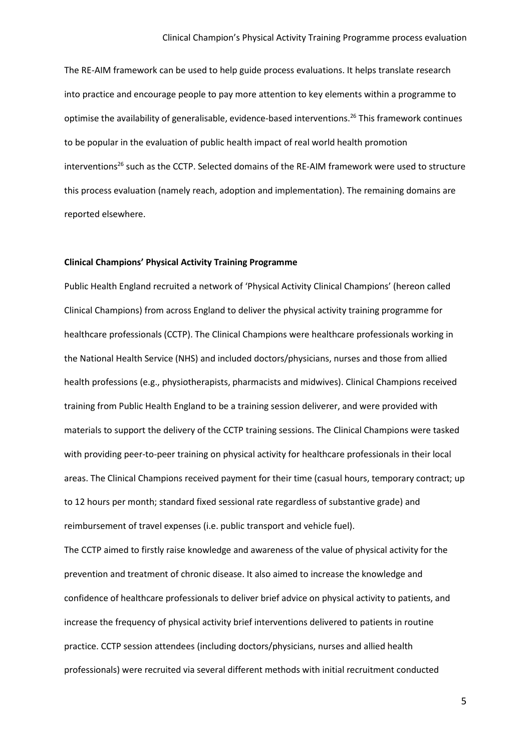The RE-AIM framework can be used to help guide process evaluations. It helps translate research into practice and encourage people to pay more attention to key elements within a programme to optimise the availability of generalisable, evidence-based interventions.<sup>26</sup> This framework continues to be popular in the evaluation of public health impact of real world health promotion interventions<sup>26</sup> such as the CCTP. Selected domains of the RE-AIM framework were used to structure this process evaluation (namely reach, adoption and implementation). The remaining domains are reported elsewhere.

#### **Clinical Champions' Physical Activity Training Programme**

Public Health England recruited a network of 'Physical Activity Clinical Champions' (hereon called Clinical Champions) from across England to deliver the physical activity training programme for healthcare professionals (CCTP). The Clinical Champions were healthcare professionals working in the National Health Service (NHS) and included doctors/physicians, nurses and those from allied health professions (e.g., physiotherapists, pharmacists and midwives). Clinical Champions received training from Public Health England to be a training session deliverer, and were provided with materials to support the delivery of the CCTP training sessions. The Clinical Champions were tasked with providing peer-to-peer training on physical activity for healthcare professionals in their local areas. The Clinical Champions received payment for their time (casual hours, temporary contract; up to 12 hours per month; standard fixed sessional rate regardless of substantive grade) and reimbursement of travel expenses (i.e. public transport and vehicle fuel).

The CCTP aimed to firstly raise knowledge and awareness of the value of physical activity for the prevention and treatment of chronic disease. It also aimed to increase the knowledge and confidence of healthcare professionals to deliver brief advice on physical activity to patients, and increase the frequency of physical activity brief interventions delivered to patients in routine practice. CCTP session attendees (including doctors/physicians, nurses and allied health professionals) were recruited via several different methods with initial recruitment conducted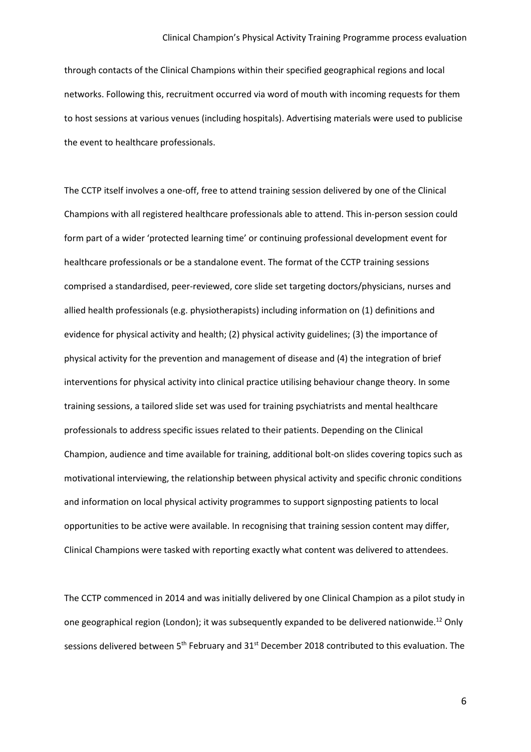through contacts of the Clinical Champions within their specified geographical regions and local networks. Following this, recruitment occurred via word of mouth with incoming requests for them to host sessions at various venues (including hospitals). Advertising materials were used to publicise the event to healthcare professionals.

The CCTP itself involves a one-off, free to attend training session delivered by one of the Clinical Champions with all registered healthcare professionals able to attend. This in-person session could form part of a wider 'protected learning time' or continuing professional development event for healthcare professionals or be a standalone event. The format of the CCTP training sessions comprised a standardised, peer-reviewed, core slide set targeting doctors/physicians, nurses and allied health professionals (e.g. physiotherapists) including information on (1) definitions and evidence for physical activity and health; (2) physical activity guidelines; (3) the importance of physical activity for the prevention and management of disease and (4) the integration of brief interventions for physical activity into clinical practice utilising behaviour change theory. In some training sessions, a tailored slide set was used for training psychiatrists and mental healthcare professionals to address specific issues related to their patients. Depending on the Clinical Champion, audience and time available for training, additional bolt-on slides covering topics such as motivational interviewing, the relationship between physical activity and specific chronic conditions and information on local physical activity programmes to support signposting patients to local opportunities to be active were available. In recognising that training session content may differ, Clinical Champions were tasked with reporting exactly what content was delivered to attendees.

The CCTP commenced in 2014 and was initially delivered by one Clinical Champion as a pilot study in one geographical region (London); it was subsequently expanded to be delivered nationwide.<sup>12</sup> Only sessions delivered between 5<sup>th</sup> February and 31<sup>st</sup> December 2018 contributed to this evaluation. The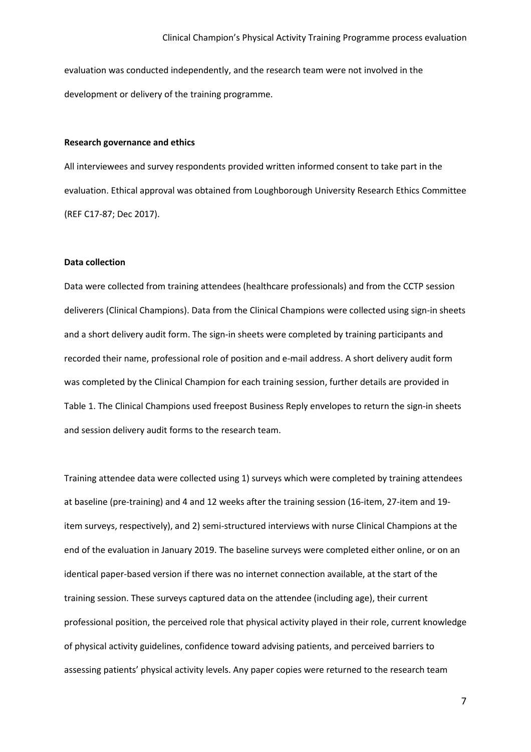evaluation was conducted independently, and the research team were not involved in the development or delivery of the training programme.

#### **Research governance and ethics**

All interviewees and survey respondents provided written informed consent to take part in the evaluation. Ethical approval was obtained from Loughborough University Research Ethics Committee (REF C17-87; Dec 2017).

### **Data collection**

Data were collected from training attendees (healthcare professionals) and from the CCTP session deliverers (Clinical Champions). Data from the Clinical Champions were collected using sign-in sheets and a short delivery audit form. The sign-in sheets were completed by training participants and recorded their name, professional role of position and e-mail address. A short delivery audit form was completed by the Clinical Champion for each training session, further details are provided in Table 1. The Clinical Champions used freepost Business Reply envelopes to return the sign-in sheets and session delivery audit forms to the research team.

Training attendee data were collected using 1) surveys which were completed by training attendees at baseline (pre-training) and 4 and 12 weeks after the training session (16-item, 27-item and 19 item surveys, respectively), and 2) semi-structured interviews with nurse Clinical Champions at the end of the evaluation in January 2019. The baseline surveys were completed either online, or on an identical paper-based version if there was no internet connection available, at the start of the training session. These surveys captured data on the attendee (including age), their current professional position, the perceived role that physical activity played in their role, current knowledge of physical activity guidelines, confidence toward advising patients, and perceived barriers to assessing patients' physical activity levels. Any paper copies were returned to the research team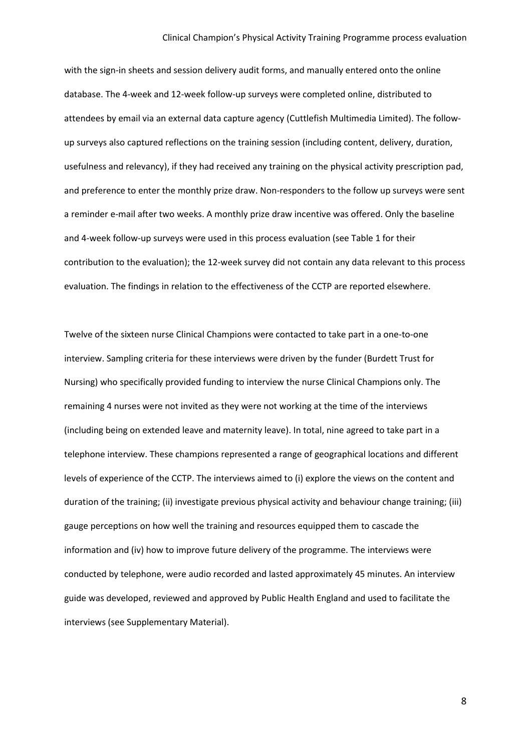#### Clinical Champion's Physical Activity Training Programme process evaluation

with the sign-in sheets and session delivery audit forms, and manually entered onto the online database. The 4-week and 12-week follow-up surveys were completed online, distributed to attendees by email via an external data capture agency (Cuttlefish Multimedia Limited). The followup surveys also captured reflections on the training session (including content, delivery, duration, usefulness and relevancy), if they had received any training on the physical activity prescription pad, and preference to enter the monthly prize draw. Non-responders to the follow up surveys were sent a reminder e-mail after two weeks. A monthly prize draw incentive was offered. Only the baseline and 4-week follow-up surveys were used in this process evaluation (see Table 1 for their contribution to the evaluation); the 12-week survey did not contain any data relevant to this process evaluation. The findings in relation to the effectiveness of the CCTP are reported elsewhere.

Twelve of the sixteen nurse Clinical Champions were contacted to take part in a one-to-one interview. Sampling criteria for these interviews were driven by the funder (Burdett Trust for Nursing) who specifically provided funding to interview the nurse Clinical Champions only. The remaining 4 nurses were not invited as they were not working at the time of the interviews (including being on extended leave and maternity leave). In total, nine agreed to take part in a telephone interview. These champions represented a range of geographical locations and different levels of experience of the CCTP. The interviews aimed to (i) explore the views on the content and duration of the training; (ii) investigate previous physical activity and behaviour change training; (iii) gauge perceptions on how well the training and resources equipped them to cascade the information and (iv) how to improve future delivery of the programme. The interviews were conducted by telephone, were audio recorded and lasted approximately 45 minutes. An interview guide was developed, reviewed and approved by Public Health England and used to facilitate the interviews (see Supplementary Material).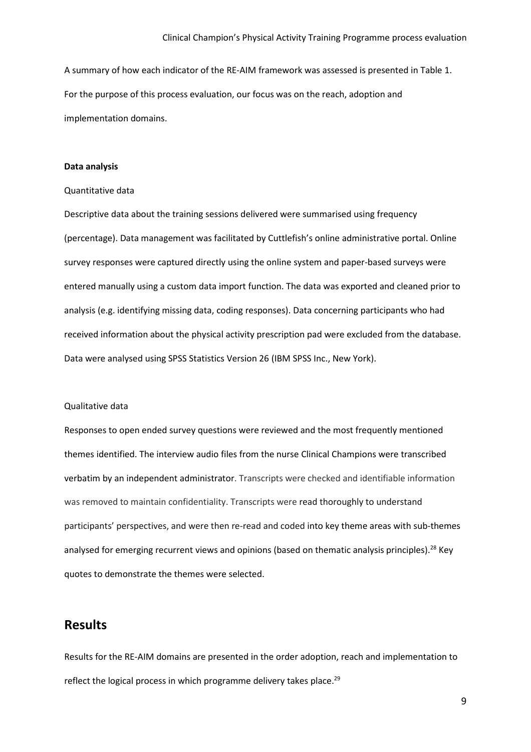A summary of how each indicator of the RE-AIM framework was assessed is presented in Table 1. For the purpose of this process evaluation, our focus was on the reach, adoption and implementation domains.

#### **Data analysis**

#### Quantitative data

Descriptive data about the training sessions delivered were summarised using frequency (percentage). Data management was facilitated by Cuttlefish's online administrative portal. Online survey responses were captured directly using the online system and paper-based surveys were entered manually using a custom data import function. The data was exported and cleaned prior to analysis (e.g. identifying missing data, coding responses). Data concerning participants who had received information about the physical activity prescription pad were excluded from the database. Data were analysed using SPSS Statistics Version 26 (IBM SPSS Inc., New York).

#### Qualitative data

Responses to open ended survey questions were reviewed and the most frequently mentioned themes identified. The interview audio files from the nurse Clinical Champions were transcribed verbatim by an independent administrator. Transcripts were checked and identifiable information was removed to maintain confidentiality. Transcripts were read thoroughly to understand participants' perspectives, and were then re-read and coded into key theme areas with sub-themes analysed for emerging recurrent views and opinions (based on thematic analysis principles).<sup>28</sup> Key quotes to demonstrate the themes were selected.

### **Results**

Results for the RE-AIM domains are presented in the order adoption, reach and implementation to reflect the logical process in which programme delivery takes place.<sup>29</sup>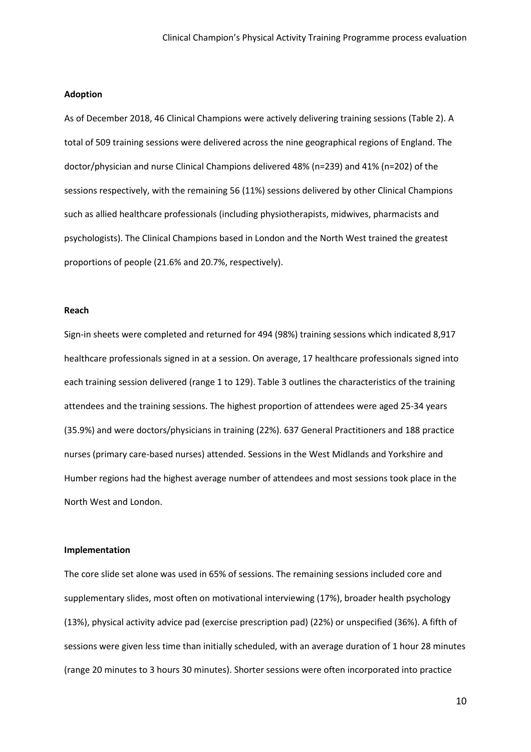#### **Adoption**

As of December 2018, 46 Clinical Champions were actively delivering training sessions (Table 2). A total of 509 training sessions were delivered across the nine geographical regions of England. The doctor/physician and nurse Clinical Champions delivered 48% (n=239) and 41% (n=202) of the sessions respectively, with the remaining 56 (11%) sessions delivered by other Clinical Champions such as allied healthcare professionals (including physiotherapists, midwives, pharmacists and psychologists). The Clinical Champions based in London and the North West trained the greatest proportions of people (21.6% and 20.7%, respectively).

#### **Reach**

Sign-in sheets were completed and returned for 494 (98%) training sessions which indicated 8,917 healthcare professionals signed in at a session. On average, 17 healthcare professionals signed into each training session delivered (range 1 to 129). Table 3 outlines the characteristics of the training attendees and the training sessions. The highest proportion of attendees were aged 25-34 years (35.9%) and were doctors/physicians in training (22%). 637 General Practitioners and 188 practice nurses (primary care-based nurses) attended. Sessions in the West Midlands and Yorkshire and Humber regions had the highest average number of attendees and most sessions took place in the North West and London.

#### **Implementation**

The core slide set alone was used in 65% of sessions. The remaining sessions included core and supplementary slides, most often on motivational interviewing (17%), broader health psychology (13%), physical activity advice pad (exercise prescription pad) (22%) or unspecified (36%). A fifth of sessions were given less time than initially scheduled, with an average duration of 1 hour 28 minutes (range 20 minutes to 3 hours 30 minutes). Shorter sessions were often incorporated into practice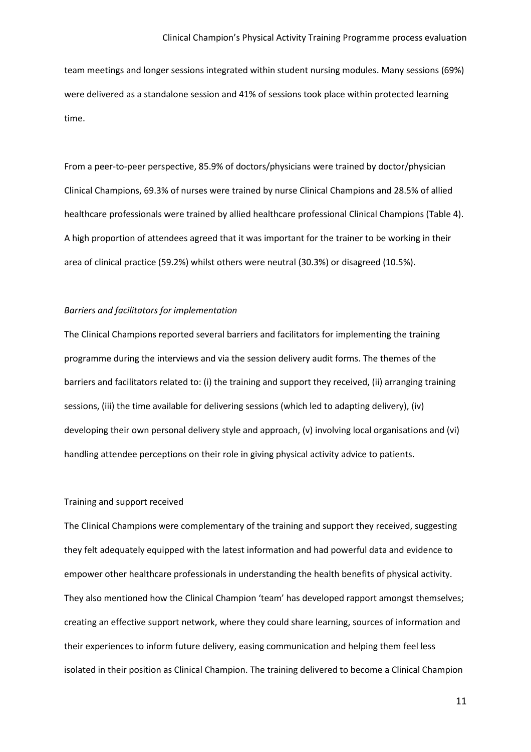team meetings and longer sessions integrated within student nursing modules. Many sessions (69%) were delivered as a standalone session and 41% of sessions took place within protected learning time.

From a peer-to-peer perspective, 85.9% of doctors/physicians were trained by doctor/physician Clinical Champions, 69.3% of nurses were trained by nurse Clinical Champions and 28.5% of allied healthcare professionals were trained by allied healthcare professional Clinical Champions (Table 4). A high proportion of attendees agreed that it was important for the trainer to be working in their area of clinical practice (59.2%) whilst others were neutral (30.3%) or disagreed (10.5%).

#### *Barriers and facilitators for implementation*

The Clinical Champions reported several barriers and facilitators for implementing the training programme during the interviews and via the session delivery audit forms. The themes of the barriers and facilitators related to: (i) the training and support they received, (ii) arranging training sessions, (iii) the time available for delivering sessions (which led to adapting delivery), (iv) developing their own personal delivery style and approach, (v) involving local organisations and (vi) handling attendee perceptions on their role in giving physical activity advice to patients.

#### Training and support received

The Clinical Champions were complementary of the training and support they received, suggesting they felt adequately equipped with the latest information and had powerful data and evidence to empower other healthcare professionals in understanding the health benefits of physical activity. They also mentioned how the Clinical Champion 'team' has developed rapport amongst themselves; creating an effective support network, where they could share learning, sources of information and their experiences to inform future delivery, easing communication and helping them feel less isolated in their position as Clinical Champion. The training delivered to become a Clinical Champion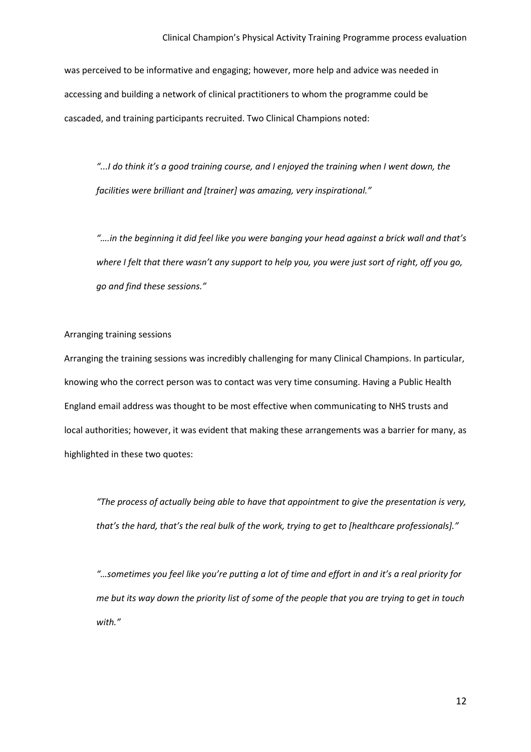was perceived to be informative and engaging; however, more help and advice was needed in accessing and building a network of clinical practitioners to whom the programme could be cascaded, and training participants recruited. Two Clinical Champions noted:

*"...I do think it's a good training course, and I enjoyed the training when I went down, the facilities were brilliant and [trainer] was amazing, very inspirational."*

*"….in the beginning it did feel like you were banging your head against a brick wall and that's where I felt that there wasn't any support to help you, you were just sort of right, off you go, go and find these sessions."*

#### Arranging training sessions

Arranging the training sessions was incredibly challenging for many Clinical Champions. In particular, knowing who the correct person was to contact was very time consuming. Having a Public Health England email address was thought to be most effective when communicating to NHS trusts and local authorities; however, it was evident that making these arrangements was a barrier for many, as highlighted in these two quotes:

*"The process of actually being able to have that appointment to give the presentation is very, that's the hard, that's the real bulk of the work, trying to get to [healthcare professionals]."* 

*"…sometimes you feel like you're putting a lot of time and effort in and it's a real priority for me but its way down the priority list of some of the people that you are trying to get in touch with."*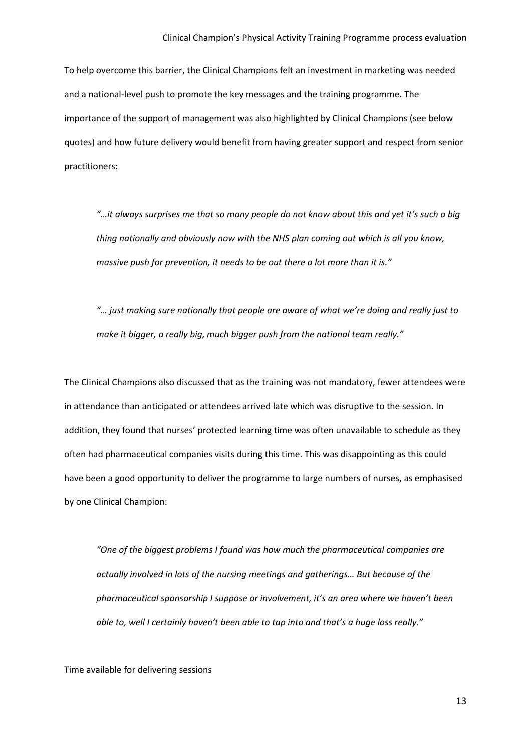To help overcome this barrier, the Clinical Champions felt an investment in marketing was needed and a national-level push to promote the key messages and the training programme. The importance of the support of management was also highlighted by Clinical Champions (see below quotes) and how future delivery would benefit from having greater support and respect from senior practitioners:

*"…it always surprises me that so many people do not know about this and yet it's such a big thing nationally and obviously now with the NHS plan coming out which is all you know, massive push for prevention, it needs to be out there a lot more than it is."*

*"… just making sure nationally that people are aware of what we're doing and really just to make it bigger, a really big, much bigger push from the national team really."*

The Clinical Champions also discussed that as the training was not mandatory, fewer attendees were in attendance than anticipated or attendees arrived late which was disruptive to the session. In addition, they found that nurses' protected learning time was often unavailable to schedule as they often had pharmaceutical companies visits during this time. This was disappointing as this could have been a good opportunity to deliver the programme to large numbers of nurses, as emphasised by one Clinical Champion:

*"One of the biggest problems I found was how much the pharmaceutical companies are actually involved in lots of the nursing meetings and gatherings… But because of the pharmaceutical sponsorship I suppose or involvement, it's an area where we haven't been able to, well I certainly haven't been able to tap into and that's a huge loss really."*

Time available for delivering sessions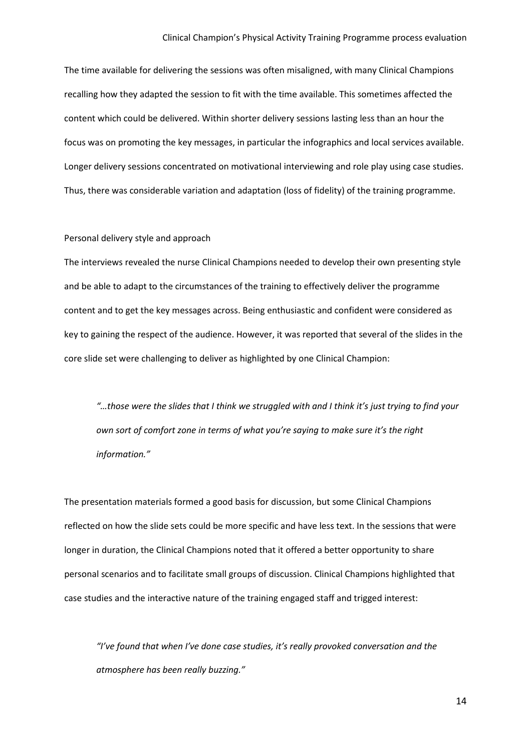#### Clinical Champion's Physical Activity Training Programme process evaluation

The time available for delivering the sessions was often misaligned, with many Clinical Champions recalling how they adapted the session to fit with the time available. This sometimes affected the content which could be delivered. Within shorter delivery sessions lasting less than an hour the focus was on promoting the key messages, in particular the infographics and local services available. Longer delivery sessions concentrated on motivational interviewing and role play using case studies. Thus, there was considerable variation and adaptation (loss of fidelity) of the training programme.

#### Personal delivery style and approach

The interviews revealed the nurse Clinical Champions needed to develop their own presenting style and be able to adapt to the circumstances of the training to effectively deliver the programme content and to get the key messages across. Being enthusiastic and confident were considered as key to gaining the respect of the audience. However, it was reported that several of the slides in the core slide set were challenging to deliver as highlighted by one Clinical Champion:

*"…those were the slides that I think we struggled with and I think it's just trying to find your own sort of comfort zone in terms of what you're saying to make sure it's the right information."*

The presentation materials formed a good basis for discussion, but some Clinical Champions reflected on how the slide sets could be more specific and have less text. In the sessions that were longer in duration, the Clinical Champions noted that it offered a better opportunity to share personal scenarios and to facilitate small groups of discussion. Clinical Champions highlighted that case studies and the interactive nature of the training engaged staff and trigged interest:

*"I've found that when I've done case studies, it's really provoked conversation and the atmosphere has been really buzzing."*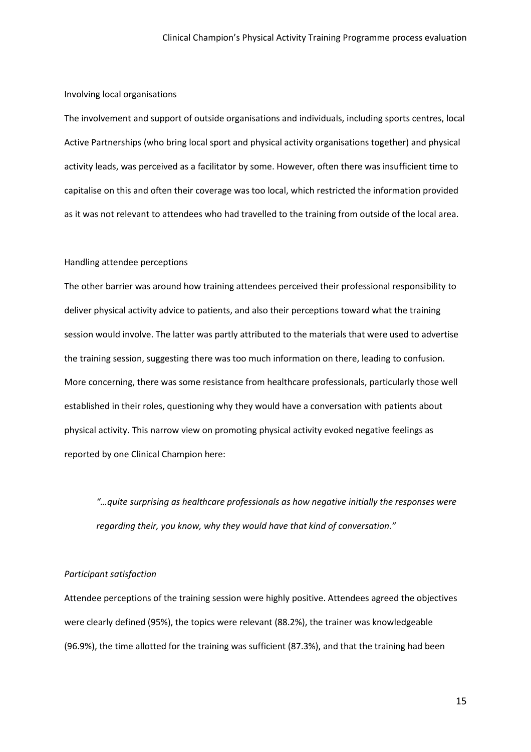#### Involving local organisations

The involvement and support of outside organisations and individuals, including sports centres, local Active Partnerships (who bring local sport and physical activity organisations together) and physical activity leads, was perceived as a facilitator by some. However, often there was insufficient time to capitalise on this and often their coverage was too local, which restricted the information provided as it was not relevant to attendees who had travelled to the training from outside of the local area.

#### Handling attendee perceptions

The other barrier was around how training attendees perceived their professional responsibility to deliver physical activity advice to patients, and also their perceptions toward what the training session would involve. The latter was partly attributed to the materials that were used to advertise the training session, suggesting there was too much information on there, leading to confusion. More concerning, there was some resistance from healthcare professionals, particularly those well established in their roles, questioning why they would have a conversation with patients about physical activity. This narrow view on promoting physical activity evoked negative feelings as reported by one Clinical Champion here:

*"…quite surprising as healthcare professionals as how negative initially the responses were regarding their, you know, why they would have that kind of conversation."*

#### *Participant satisfaction*

Attendee perceptions of the training session were highly positive. Attendees agreed the objectives were clearly defined (95%), the topics were relevant (88.2%), the trainer was knowledgeable (96.9%), the time allotted for the training was sufficient (87.3%), and that the training had been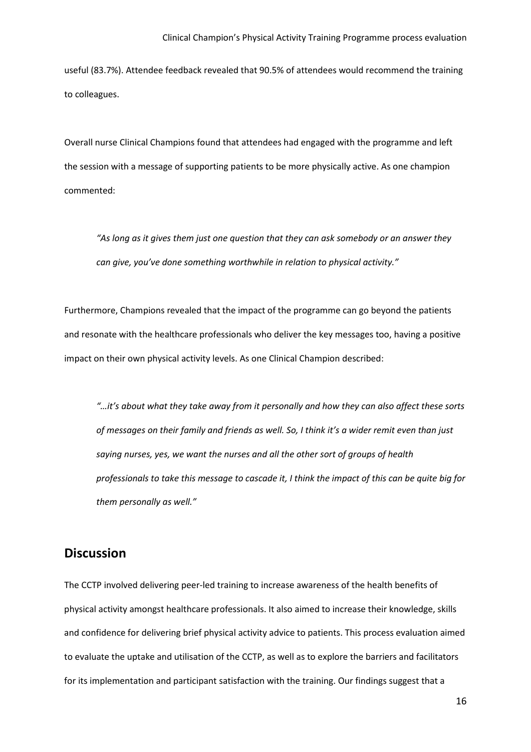useful (83.7%). Attendee feedback revealed that 90.5% of attendees would recommend the training to colleagues.

Overall nurse Clinical Champions found that attendees had engaged with the programme and left the session with a message of supporting patients to be more physically active. As one champion commented:

*"As long as it gives them just one question that they can ask somebody or an answer they can give, you've done something worthwhile in relation to physical activity."*

Furthermore, Champions revealed that the impact of the programme can go beyond the patients and resonate with the healthcare professionals who deliver the key messages too, having a positive impact on their own physical activity levels. As one Clinical Champion described:

*"…it's about what they take away from it personally and how they can also affect these sorts of messages on their family and friends as well. So, I think it's a wider remit even than just saying nurses, yes, we want the nurses and all the other sort of groups of health professionals to take this message to cascade it, I think the impact of this can be quite big for them personally as well."*

### **Discussion**

The CCTP involved delivering peer-led training to increase awareness of the health benefits of physical activity amongst healthcare professionals. It also aimed to increase their knowledge, skills and confidence for delivering brief physical activity advice to patients. This process evaluation aimed to evaluate the uptake and utilisation of the CCTP, as well as to explore the barriers and facilitators for its implementation and participant satisfaction with the training. Our findings suggest that a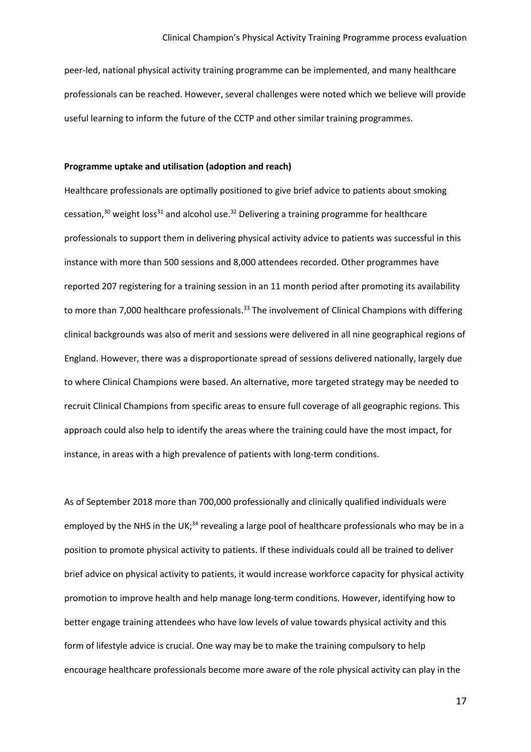peer-led, national physical activity training programme can be implemented, and many healthcare professionals can be reached. However, several challenges were noted which we believe will provide useful learning to inform the future of the CCTP and other similar training programmes.

#### **Programme uptake and utilisation (adoption and reach)**

Healthcare professionals are optimally positioned to give brief advice to patients about smoking cessation, $30$  weight loss $31$  and alcohol use. $32$  Delivering a training programme for healthcare professionals to support them in delivering physical activity advice to patients was successful in this instance with more than 500 sessions and 8,000 attendees recorded. Other programmes have reported 207 registering for a training session in an 11 month period after promoting its availability to more than 7,000 healthcare professionals.<sup>33</sup> The involvement of Clinical Champions with differing clinical backgrounds was also of merit and sessions were delivered in all nine geographical regions of England. However, there was a disproportionate spread of sessions delivered nationally, largely due to where Clinical Champions were based. An alternative, more targeted strategy may be needed to recruit Clinical Champions from specific areas to ensure full coverage of all geographic regions. This approach could also help to identify the areas where the training could have the most impact, for instance, in areas with a high prevalence of patients with long-term conditions.

As of September 2018 more than 700,000 professionally and clinically qualified individuals were employed by the NHS in the UK;<sup>34</sup> revealing a large pool of healthcare professionals who may be in a position to promote physical activity to patients. If these individuals could all be trained to deliver brief advice on physical activity to patients, it would increase workforce capacity for physical activity promotion to improve health and help manage long-term conditions. However, identifying how to better engage training attendees who have low levels of value towards physical activity and this form of lifestyle advice is crucial. One way may be to make the training compulsory to help encourage healthcare professionals become more aware of the role physical activity can play in the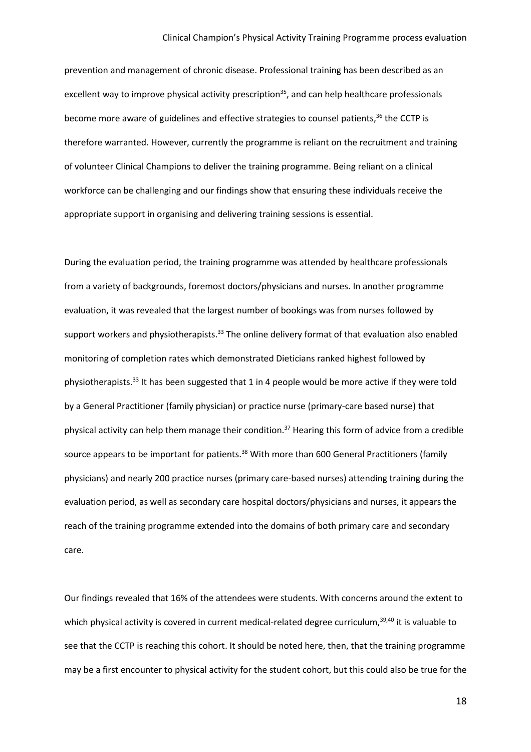prevention and management of chronic disease. Professional training has been described as an excellent way to improve physical activity prescription<sup>35</sup>, and can help healthcare professionals become more aware of guidelines and effective strategies to counsel patients,<sup>36</sup> the CCTP is therefore warranted. However, currently the programme is reliant on the recruitment and training of volunteer Clinical Champions to deliver the training programme. Being reliant on a clinical workforce can be challenging and our findings show that ensuring these individuals receive the appropriate support in organising and delivering training sessions is essential.

During the evaluation period, the training programme was attended by healthcare professionals from a variety of backgrounds, foremost doctors/physicians and nurses. In another programme evaluation, it was revealed that the largest number of bookings was from nurses followed by support workers and physiotherapists.<sup>33</sup> The online delivery format of that evaluation also enabled monitoring of completion rates which demonstrated Dieticians ranked highest followed by physiotherapists.<sup>33</sup> It has been suggested that 1 in 4 people would be more active if they were told by a General Practitioner (family physician) or practice nurse (primary-care based nurse) that physical activity can help them manage their condition.<sup>37</sup> Hearing this form of advice from a credible source appears to be important for patients.<sup>38</sup> With more than 600 General Practitioners (family physicians) and nearly 200 practice nurses (primary care-based nurses) attending training during the evaluation period, as well as secondary care hospital doctors/physicians and nurses, it appears the reach of the training programme extended into the domains of both primary care and secondary care.

Our findings revealed that 16% of the attendees were students. With concerns around the extent to which physical activity is covered in current medical-related degree curriculum,<sup>39,40</sup> it is valuable to see that the CCTP is reaching this cohort. It should be noted here, then, that the training programme may be a first encounter to physical activity for the student cohort, but this could also be true for the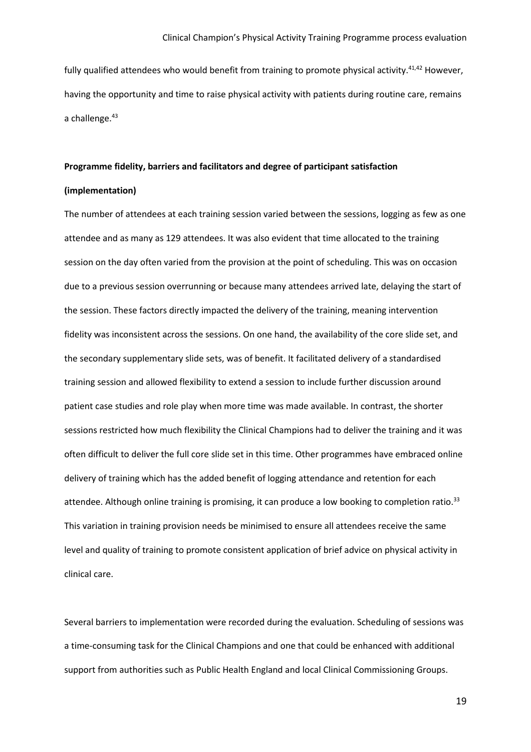fully qualified attendees who would benefit from training to promote physical activity.<sup>41,42</sup> However, having the opportunity and time to raise physical activity with patients during routine care, remains a challenge.<sup>43</sup>

#### **Programme fidelity, barriers and facilitators and degree of participant satisfaction**

#### **(implementation)**

The number of attendees at each training session varied between the sessions, logging as few as one attendee and as many as 129 attendees. It was also evident that time allocated to the training session on the day often varied from the provision at the point of scheduling. This was on occasion due to a previous session overrunning or because many attendees arrived late, delaying the start of the session. These factors directly impacted the delivery of the training, meaning intervention fidelity was inconsistent across the sessions. On one hand, the availability of the core slide set, and the secondary supplementary slide sets, was of benefit. It facilitated delivery of a standardised training session and allowed flexibility to extend a session to include further discussion around patient case studies and role play when more time was made available. In contrast, the shorter sessions restricted how much flexibility the Clinical Champions had to deliver the training and it was often difficult to deliver the full core slide set in this time. Other programmes have embraced online delivery of training which has the added benefit of logging attendance and retention for each attendee. Although online training is promising, it can produce a low booking to completion ratio.<sup>33</sup> This variation in training provision needs be minimised to ensure all attendees receive the same level and quality of training to promote consistent application of brief advice on physical activity in clinical care.

Several barriers to implementation were recorded during the evaluation. Scheduling of sessions was a time-consuming task for the Clinical Champions and one that could be enhanced with additional support from authorities such as Public Health England and local Clinical Commissioning Groups.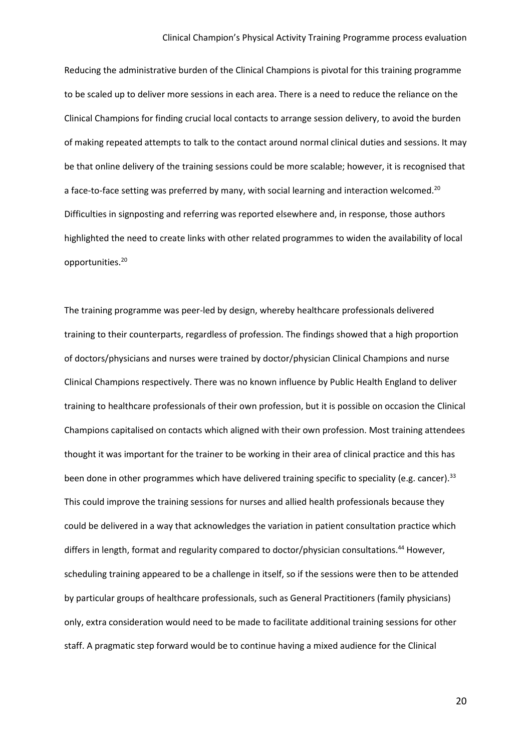Reducing the administrative burden of the Clinical Champions is pivotal for this training programme to be scaled up to deliver more sessions in each area. There is a need to reduce the reliance on the Clinical Champions for finding crucial local contacts to arrange session delivery, to avoid the burden of making repeated attempts to talk to the contact around normal clinical duties and sessions. It may be that online delivery of the training sessions could be more scalable; however, it is recognised that a face-to-face setting was preferred by many, with social learning and interaction welcomed.<sup>20</sup> Difficulties in signposting and referring was reported elsewhere and, in response, those authors highlighted the need to create links with other related programmes to widen the availability of local opportunities.20

The training programme was peer-led by design, whereby healthcare professionals delivered training to their counterparts, regardless of profession. The findings showed that a high proportion of doctors/physicians and nurses were trained by doctor/physician Clinical Champions and nurse Clinical Champions respectively. There was no known influence by Public Health England to deliver training to healthcare professionals of their own profession, but it is possible on occasion the Clinical Champions capitalised on contacts which aligned with their own profession. Most training attendees thought it was important for the trainer to be working in their area of clinical practice and this has been done in other programmes which have delivered training specific to speciality (e.g. cancer).<sup>33</sup> This could improve the training sessions for nurses and allied health professionals because they could be delivered in a way that acknowledges the variation in patient consultation practice which differs in length, format and regularity compared to doctor/physician consultations.<sup>44</sup> However, scheduling training appeared to be a challenge in itself, so if the sessions were then to be attended by particular groups of healthcare professionals, such as General Practitioners (family physicians) only, extra consideration would need to be made to facilitate additional training sessions for other staff. A pragmatic step forward would be to continue having a mixed audience for the Clinical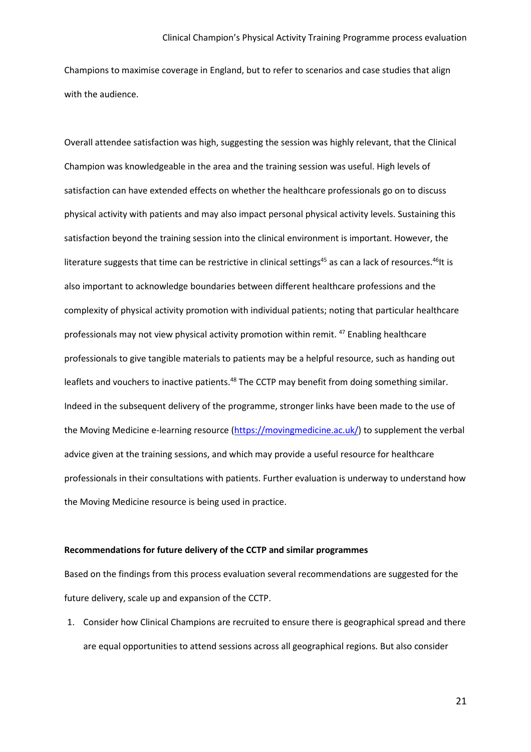Champions to maximise coverage in England, but to refer to scenarios and case studies that align with the audience.

Overall attendee satisfaction was high, suggesting the session was highly relevant, that the Clinical Champion was knowledgeable in the area and the training session was useful. High levels of satisfaction can have extended effects on whether the healthcare professionals go on to discuss physical activity with patients and may also impact personal physical activity levels. Sustaining this satisfaction beyond the training session into the clinical environment is important. However, the literature suggests that time can be restrictive in clinical settings<sup>45</sup> as can a lack of resources.<sup>46</sup>It is also important to acknowledge boundaries between different healthcare professions and the complexity of physical activity promotion with individual patients; noting that particular healthcare professionals may not view physical activity promotion within remit. <sup>47</sup> Enabling healthcare professionals to give tangible materials to patients may be a helpful resource, such as handing out leaflets and vouchers to inactive patients.<sup>48</sup> The CCTP may benefit from doing something similar. Indeed in the subsequent delivery of the programme, stronger links have been made to the use of the Moving Medicine e-learning resource [\(https://movingmedicine.ac.uk/\)](https://movingmedicine.ac.uk/) to supplement the verbal advice given at the training sessions, and which may provide a useful resource for healthcare professionals in their consultations with patients. Further evaluation is underway to understand how the Moving Medicine resource is being used in practice.

#### **Recommendations for future delivery of the CCTP and similar programmes**

Based on the findings from this process evaluation several recommendations are suggested for the future delivery, scale up and expansion of the CCTP.

1. Consider how Clinical Champions are recruited to ensure there is geographical spread and there are equal opportunities to attend sessions across all geographical regions. But also consider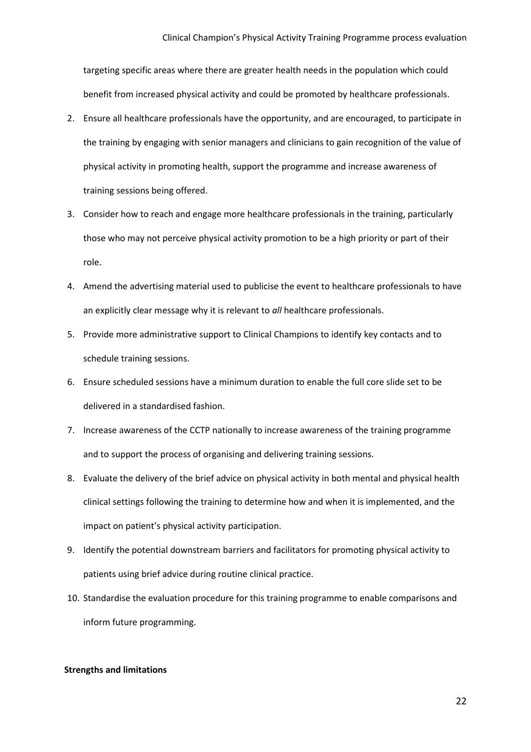targeting specific areas where there are greater health needs in the population which could benefit from increased physical activity and could be promoted by healthcare professionals.

- 2. Ensure all healthcare professionals have the opportunity, and are encouraged, to participate in the training by engaging with senior managers and clinicians to gain recognition of the value of physical activity in promoting health, support the programme and increase awareness of training sessions being offered.
- 3. Consider how to reach and engage more healthcare professionals in the training, particularly those who may not perceive physical activity promotion to be a high priority or part of their role.
- 4. Amend the advertising material used to publicise the event to healthcare professionals to have an explicitly clear message why it is relevant to *all* healthcare professionals.
- 5. Provide more administrative support to Clinical Champions to identify key contacts and to schedule training sessions.
- 6. Ensure scheduled sessions have a minimum duration to enable the full core slide set to be delivered in a standardised fashion.
- 7. Increase awareness of the CCTP nationally to increase awareness of the training programme and to support the process of organising and delivering training sessions.
- 8. Evaluate the delivery of the brief advice on physical activity in both mental and physical health clinical settings following the training to determine how and when it is implemented, and the impact on patient's physical activity participation.
- 9. Identify the potential downstream barriers and facilitators for promoting physical activity to patients using brief advice during routine clinical practice.
- 10. Standardise the evaluation procedure for this training programme to enable comparisons and inform future programming.

#### **Strengths and limitations**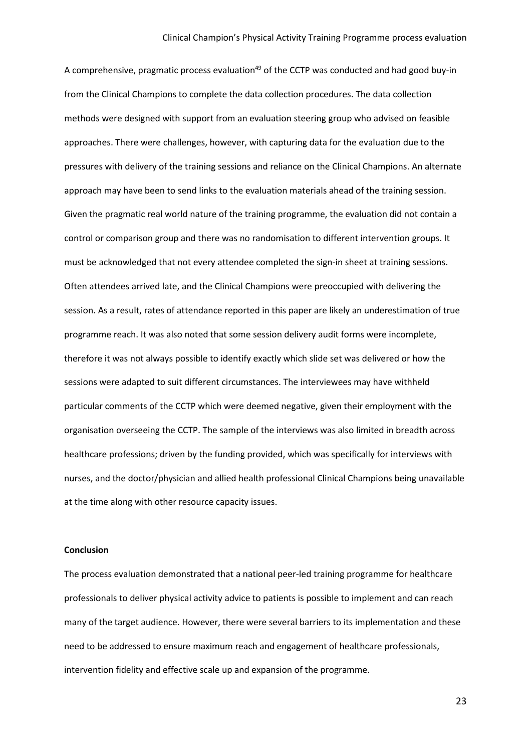A comprehensive, pragmatic process evaluation<sup>49</sup> of the CCTP was conducted and had good buy-in from the Clinical Champions to complete the data collection procedures. The data collection methods were designed with support from an evaluation steering group who advised on feasible approaches. There were challenges, however, with capturing data for the evaluation due to the pressures with delivery of the training sessions and reliance on the Clinical Champions. An alternate approach may have been to send links to the evaluation materials ahead of the training session. Given the pragmatic real world nature of the training programme, the evaluation did not contain a control or comparison group and there was no randomisation to different intervention groups. It must be acknowledged that not every attendee completed the sign-in sheet at training sessions. Often attendees arrived late, and the Clinical Champions were preoccupied with delivering the session. As a result, rates of attendance reported in this paper are likely an underestimation of true programme reach. It was also noted that some session delivery audit forms were incomplete, therefore it was not always possible to identify exactly which slide set was delivered or how the sessions were adapted to suit different circumstances. The interviewees may have withheld particular comments of the CCTP which were deemed negative, given their employment with the organisation overseeing the CCTP. The sample of the interviews was also limited in breadth across healthcare professions; driven by the funding provided, which was specifically for interviews with nurses, and the doctor/physician and allied health professional Clinical Champions being unavailable at the time along with other resource capacity issues.

#### **Conclusion**

The process evaluation demonstrated that a national peer-led training programme for healthcare professionals to deliver physical activity advice to patients is possible to implement and can reach many of the target audience. However, there were several barriers to its implementation and these need to be addressed to ensure maximum reach and engagement of healthcare professionals, intervention fidelity and effective scale up and expansion of the programme.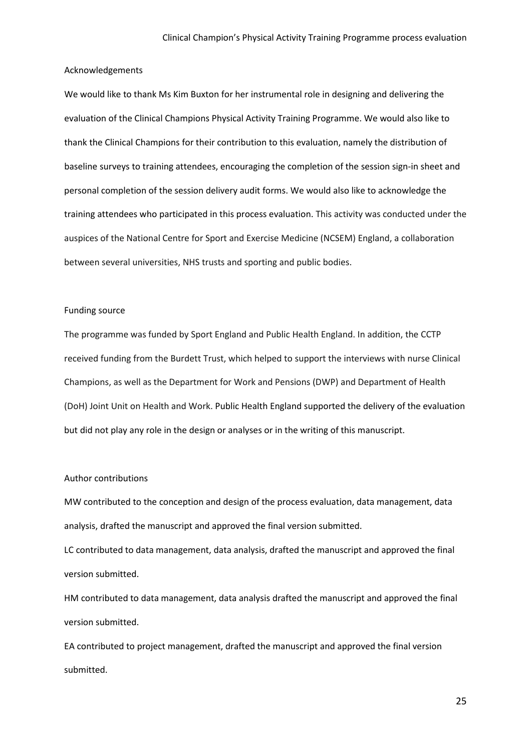#### Acknowledgements

We would like to thank Ms Kim Buxton for her instrumental role in designing and delivering the evaluation of the Clinical Champions Physical Activity Training Programme. We would also like to thank the Clinical Champions for their contribution to this evaluation, namely the distribution of baseline surveys to training attendees, encouraging the completion of the session sign-in sheet and personal completion of the session delivery audit forms. We would also like to acknowledge the training attendees who participated in this process evaluation. This activity was conducted under the auspices of the National Centre for Sport and Exercise Medicine (NCSEM) England, a collaboration between several universities, NHS trusts and sporting and public bodies.

#### Funding source

The programme was funded by Sport England and Public Health England. In addition, the CCTP received funding from the Burdett Trust, which helped to support the interviews with nurse Clinical Champions, as well as the Department for Work and Pensions (DWP) and Department of Health (DoH) Joint Unit on Health and Work. Public Health England supported the delivery of the evaluation but did not play any role in the design or analyses or in the writing of this manuscript.

#### Author contributions

MW contributed to the conception and design of the process evaluation, data management, data analysis, drafted the manuscript and approved the final version submitted.

LC contributed to data management, data analysis, drafted the manuscript and approved the final version submitted.

HM contributed to data management, data analysis drafted the manuscript and approved the final version submitted.

EA contributed to project management, drafted the manuscript and approved the final version submitted.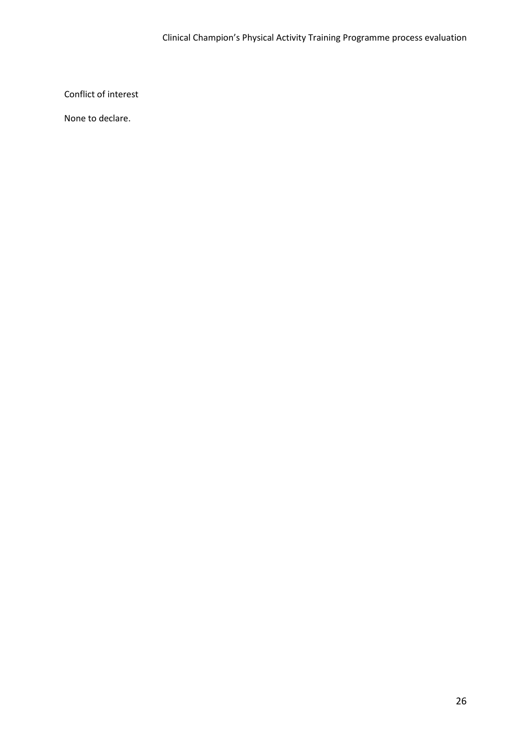Conflict of interest

None to declare.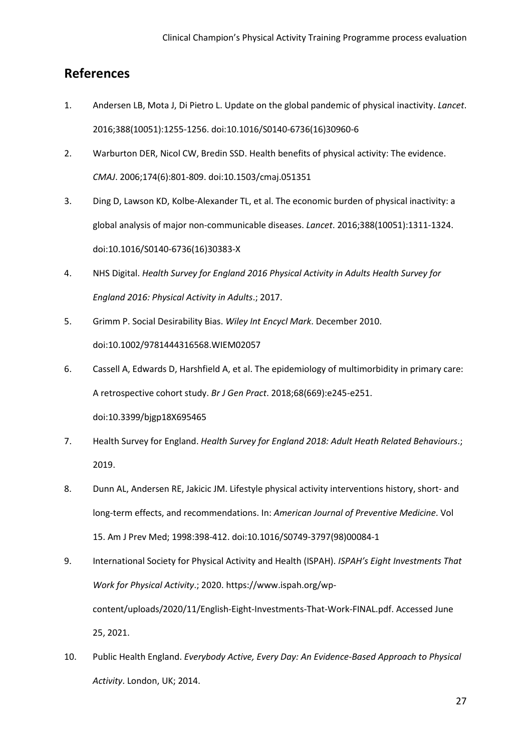### **References**

- 1. Andersen LB, Mota J, Di Pietro L. Update on the global pandemic of physical inactivity. *Lancet*. 2016;388(10051):1255-1256. doi:10.1016/S0140-6736(16)30960-6
- 2. Warburton DER, Nicol CW, Bredin SSD. Health benefits of physical activity: The evidence. *CMAJ*. 2006;174(6):801-809. doi:10.1503/cmaj.051351
- 3. Ding D, Lawson KD, Kolbe-Alexander TL, et al. The economic burden of physical inactivity: a global analysis of major non-communicable diseases. *Lancet*. 2016;388(10051):1311-1324. doi:10.1016/S0140-6736(16)30383-X
- 4. NHS Digital. *Health Survey for England 2016 Physical Activity in Adults Health Survey for England 2016: Physical Activity in Adults*.; 2017.
- 5. Grimm P. Social Desirability Bias. *Wiley Int Encycl Mark*. December 2010. doi:10.1002/9781444316568.WIEM02057
- 6. Cassell A, Edwards D, Harshfield A, et al. The epidemiology of multimorbidity in primary care: A retrospective cohort study. *Br J Gen Pract*. 2018;68(669):e245-e251. doi:10.3399/bjgp18X695465
- 7. Health Survey for England. *Health Survey for England 2018: Adult Heath Related Behaviours*.; 2019.
- 8. Dunn AL, Andersen RE, Jakicic JM. Lifestyle physical activity interventions history, short- and long-term effects, and recommendations. In: *American Journal of Preventive Medicine*. Vol 15. Am J Prev Med; 1998:398-412. doi:10.1016/S0749-3797(98)00084-1
- 9. International Society for Physical Activity and Health (ISPAH). *ISPAH's Eight Investments That Work for Physical Activity*.; 2020. https://www.ispah.org/wpcontent/uploads/2020/11/English-Eight-Investments-That-Work-FINAL.pdf. Accessed June 25, 2021.
- 10. Public Health England. *Everybody Active, Every Day: An Evidence-Based Approach to Physical Activity*. London, UK; 2014.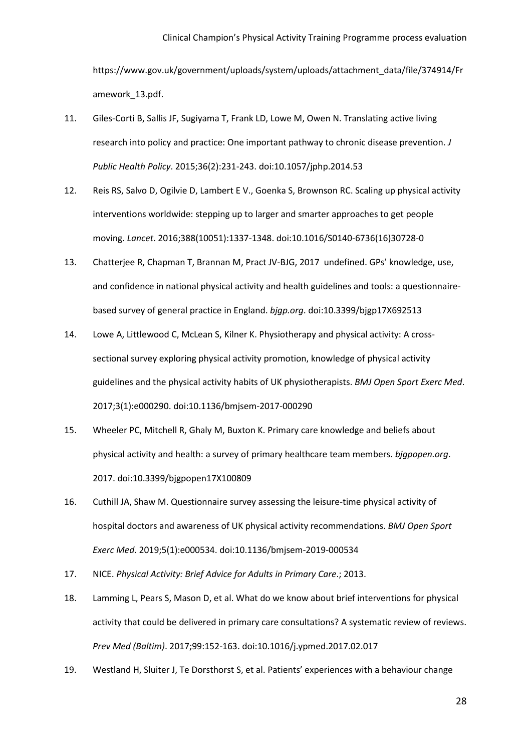https://www.gov.uk/government/uploads/system/uploads/attachment\_data/file/374914/Fr amework\_13.pdf.

- 11. Giles-Corti B, Sallis JF, Sugiyama T, Frank LD, Lowe M, Owen N. Translating active living research into policy and practice: One important pathway to chronic disease prevention. *J Public Health Policy*. 2015;36(2):231-243. doi:10.1057/jphp.2014.53
- 12. Reis RS, Salvo D, Ogilvie D, Lambert E V., Goenka S, Brownson RC. Scaling up physical activity interventions worldwide: stepping up to larger and smarter approaches to get people moving. *Lancet*. 2016;388(10051):1337-1348. doi:10.1016/S0140-6736(16)30728-0
- 13. Chatterjee R, Chapman T, Brannan M, Pract JV-BJG, 2017 undefined. GPs' knowledge, use, and confidence in national physical activity and health guidelines and tools: a questionnairebased survey of general practice in England. *bjgp.org*. doi:10.3399/bjgp17X692513
- 14. Lowe A, Littlewood C, McLean S, Kilner K. Physiotherapy and physical activity: A crosssectional survey exploring physical activity promotion, knowledge of physical activity guidelines and the physical activity habits of UK physiotherapists. *BMJ Open Sport Exerc Med*. 2017;3(1):e000290. doi:10.1136/bmjsem-2017-000290
- 15. Wheeler PC, Mitchell R, Ghaly M, Buxton K. Primary care knowledge and beliefs about physical activity and health: a survey of primary healthcare team members. *bjgpopen.org*. 2017. doi:10.3399/bjgpopen17X100809
- 16. Cuthill JA, Shaw M. Questionnaire survey assessing the leisure-time physical activity of hospital doctors and awareness of UK physical activity recommendations. *BMJ Open Sport Exerc Med*. 2019;5(1):e000534. doi:10.1136/bmjsem-2019-000534
- 17. NICE. *Physical Activity: Brief Advice for Adults in Primary Care*.; 2013.
- 18. Lamming L, Pears S, Mason D, et al. What do we know about brief interventions for physical activity that could be delivered in primary care consultations? A systematic review of reviews. *Prev Med (Baltim)*. 2017;99:152-163. doi:10.1016/j.ypmed.2017.02.017
- 19. Westland H, Sluiter J, Te Dorsthorst S, et al. Patients' experiences with a behaviour change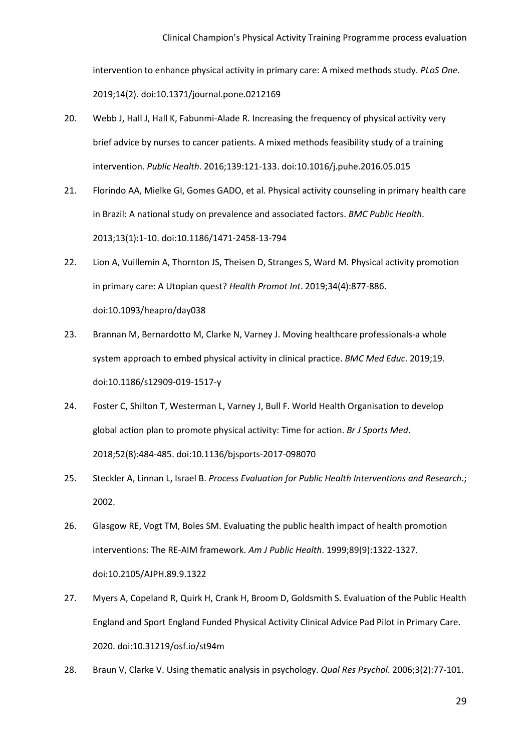intervention to enhance physical activity in primary care: A mixed methods study. *PLoS One*. 2019;14(2). doi:10.1371/journal.pone.0212169

- 20. Webb J, Hall J, Hall K, Fabunmi-Alade R. Increasing the frequency of physical activity very brief advice by nurses to cancer patients. A mixed methods feasibility study of a training intervention. *Public Health*. 2016;139:121-133. doi:10.1016/j.puhe.2016.05.015
- 21. Florindo AA, Mielke GI, Gomes GADO, et al. Physical activity counseling in primary health care in Brazil: A national study on prevalence and associated factors. *BMC Public Health*. 2013;13(1):1-10. doi:10.1186/1471-2458-13-794
- 22. Lion A, Vuillemin A, Thornton JS, Theisen D, Stranges S, Ward M. Physical activity promotion in primary care: A Utopian quest? *Health Promot Int*. 2019;34(4):877-886. doi:10.1093/heapro/day038
- 23. Brannan M, Bernardotto M, Clarke N, Varney J. Moving healthcare professionals-a whole system approach to embed physical activity in clinical practice. *BMC Med Educ*. 2019;19. doi:10.1186/s12909-019-1517-y
- 24. Foster C, Shilton T, Westerman L, Varney J, Bull F. World Health Organisation to develop global action plan to promote physical activity: Time for action. *Br J Sports Med*. 2018;52(8):484-485. doi:10.1136/bjsports-2017-098070
- 25. Steckler A, Linnan L, Israel B. *Process Evaluation for Public Health Interventions and Research*.; 2002.
- 26. Glasgow RE, Vogt TM, Boles SM. Evaluating the public health impact of health promotion interventions: The RE-AIM framework. *Am J Public Health*. 1999;89(9):1322-1327. doi:10.2105/AJPH.89.9.1322
- 27. Myers A, Copeland R, Quirk H, Crank H, Broom D, Goldsmith S. Evaluation of the Public Health England and Sport England Funded Physical Activity Clinical Advice Pad Pilot in Primary Care. 2020. doi:10.31219/osf.io/st94m
- 28. Braun V, Clarke V. Using thematic analysis in psychology. *Qual Res Psychol*. 2006;3(2):77-101.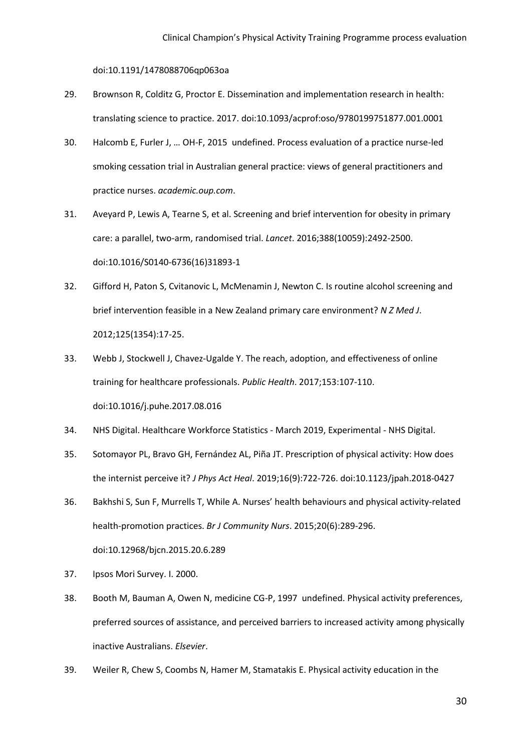doi:10.1191/1478088706qp063oa

- 29. Brownson R, Colditz G, Proctor E. Dissemination and implementation research in health: translating science to practice. 2017. doi:10.1093/acprof:oso/9780199751877.001.0001
- 30. Halcomb E, Furler J, … OH-F, 2015 undefined. Process evaluation of a practice nurse-led smoking cessation trial in Australian general practice: views of general practitioners and practice nurses. *academic.oup.com*.
- 31. Aveyard P, Lewis A, Tearne S, et al. Screening and brief intervention for obesity in primary care: a parallel, two-arm, randomised trial. *Lancet*. 2016;388(10059):2492-2500. doi:10.1016/S0140-6736(16)31893-1
- 32. Gifford H, Paton S, Cvitanovic L, McMenamin J, Newton C. Is routine alcohol screening and brief intervention feasible in a New Zealand primary care environment? *N Z Med J*. 2012;125(1354):17-25.
- 33. Webb J, Stockwell J, Chavez-Ugalde Y. The reach, adoption, and effectiveness of online training for healthcare professionals. *Public Health*. 2017;153:107-110. doi:10.1016/j.puhe.2017.08.016
- 34. NHS Digital. Healthcare Workforce Statistics March 2019, Experimental NHS Digital.
- 35. Sotomayor PL, Bravo GH, Fernández AL, Piña JT. Prescription of physical activity: How does the internist perceive it? *J Phys Act Heal*. 2019;16(9):722-726. doi:10.1123/jpah.2018-0427
- 36. Bakhshi S, Sun F, Murrells T, While A. Nurses' health behaviours and physical activity-related health-promotion practices. *Br J Community Nurs*. 2015;20(6):289-296. doi:10.12968/bjcn.2015.20.6.289
- 37. Ipsos Mori Survey. I. 2000.
- 38. Booth M, Bauman A, Owen N, medicine CG-P, 1997 undefined. Physical activity preferences, preferred sources of assistance, and perceived barriers to increased activity among physically inactive Australians. *Elsevier*.
- 39. Weiler R, Chew S, Coombs N, Hamer M, Stamatakis E. Physical activity education in the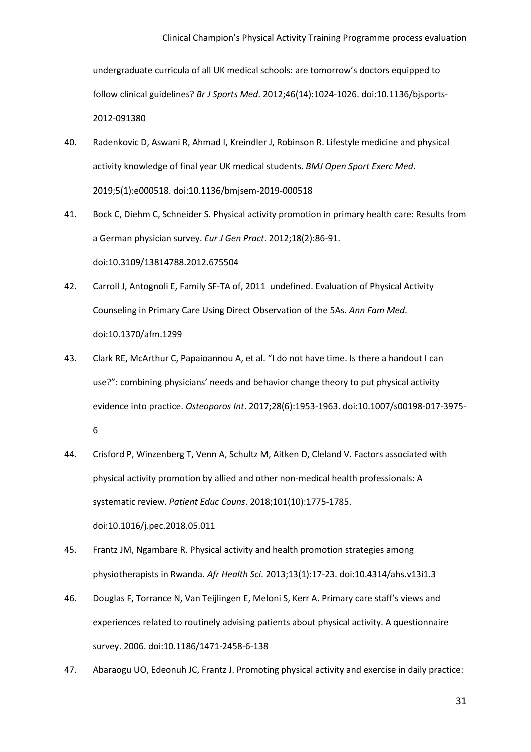undergraduate curricula of all UK medical schools: are tomorrow's doctors equipped to follow clinical guidelines? *Br J Sports Med*. 2012;46(14):1024-1026. doi:10.1136/bjsports-2012-091380

- 40. Radenkovic D, Aswani R, Ahmad I, Kreindler J, Robinson R. Lifestyle medicine and physical activity knowledge of final year UK medical students. *BMJ Open Sport Exerc Med*. 2019;5(1):e000518. doi:10.1136/bmjsem-2019-000518
- 41. Bock C, Diehm C, Schneider S. Physical activity promotion in primary health care: Results from a German physician survey. *Eur J Gen Pract*. 2012;18(2):86-91. doi:10.3109/13814788.2012.675504
- 42. Carroll J, Antognoli E, Family SF-TA of, 2011 undefined. Evaluation of Physical Activity Counseling in Primary Care Using Direct Observation of the 5As. *Ann Fam Med*. doi:10.1370/afm.1299
- 43. Clark RE, McArthur C, Papaioannou A, et al. "I do not have time. Is there a handout I can use?": combining physicians' needs and behavior change theory to put physical activity evidence into practice. *Osteoporos Int*. 2017;28(6):1953-1963. doi:10.1007/s00198-017-3975- 6
- 44. Crisford P, Winzenberg T, Venn A, Schultz M, Aitken D, Cleland V. Factors associated with physical activity promotion by allied and other non-medical health professionals: A systematic review. *Patient Educ Couns*. 2018;101(10):1775-1785. doi:10.1016/j.pec.2018.05.011
- 45. Frantz JM, Ngambare R. Physical activity and health promotion strategies among physiotherapists in Rwanda. *Afr Health Sci*. 2013;13(1):17-23. doi:10.4314/ahs.v13i1.3
- 46. Douglas F, Torrance N, Van Teijlingen E, Meloni S, Kerr A. Primary care staff's views and experiences related to routinely advising patients about physical activity. A questionnaire survey. 2006. doi:10.1186/1471-2458-6-138
- 47. Abaraogu UO, Edeonuh JC, Frantz J. Promoting physical activity and exercise in daily practice: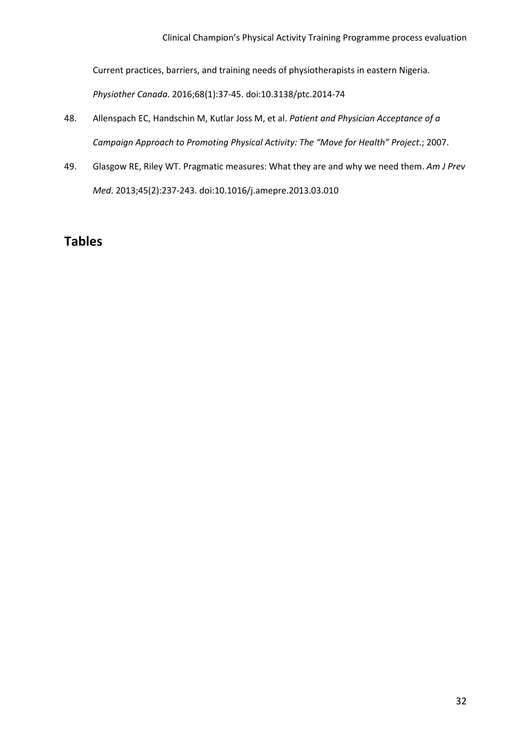Current practices, barriers, and training needs of physiotherapists in eastern Nigeria.

*Physiother Canada*. 2016;68(1):37-45. doi:10.3138/ptc.2014-74

- 48. Allenspach EC, Handschin M, Kutlar Joss M, et al. *Patient and Physician Acceptance of a Campaign Approach to Promoting Physical Activity: The "Move for Health" Project*.; 2007.
- 49. Glasgow RE, Riley WT. Pragmatic measures: What they are and why we need them. *Am J Prev Med*. 2013;45(2):237-243. doi:10.1016/j.amepre.2013.03.010

# **Tables**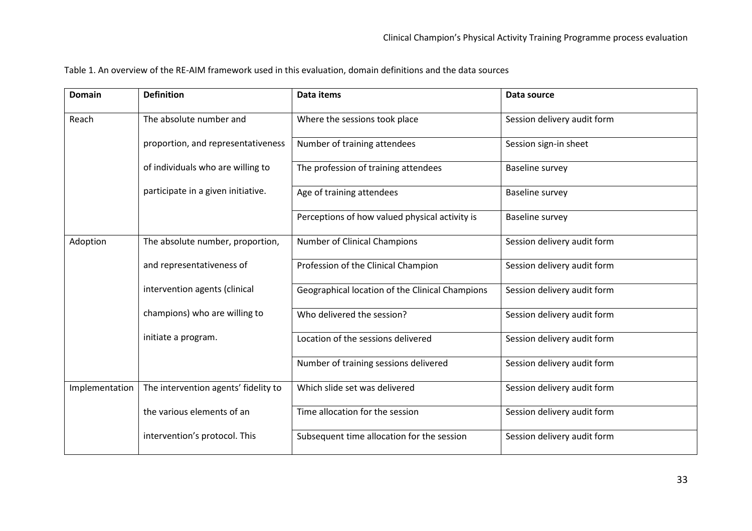Table 1. An overview of the RE-AIM framework used in this evaluation, domain definitions and the data sources

| <b>Domain</b>  | <b>Definition</b>                    | <b>Data items</b>                               | Data source                 |  |
|----------------|--------------------------------------|-------------------------------------------------|-----------------------------|--|
| Reach          | The absolute number and              | Where the sessions took place                   | Session delivery audit form |  |
|                | proportion, and representativeness   | Number of training attendees                    | Session sign-in sheet       |  |
|                | of individuals who are willing to    | The profession of training attendees            | Baseline survey             |  |
|                | participate in a given initiative.   | Age of training attendees                       | Baseline survey             |  |
|                |                                      | Perceptions of how valued physical activity is  | Baseline survey             |  |
| Adoption       | The absolute number, proportion,     | Number of Clinical Champions                    | Session delivery audit form |  |
|                | and representativeness of            | Profession of the Clinical Champion             | Session delivery audit form |  |
|                | intervention agents (clinical        | Geographical location of the Clinical Champions | Session delivery audit form |  |
|                | champions) who are willing to        | Who delivered the session?                      | Session delivery audit form |  |
|                | initiate a program.                  | Location of the sessions delivered              | Session delivery audit form |  |
|                |                                      | Number of training sessions delivered           | Session delivery audit form |  |
| Implementation | The intervention agents' fidelity to | Which slide set was delivered                   | Session delivery audit form |  |
|                | the various elements of an           | Time allocation for the session                 | Session delivery audit form |  |
|                | intervention's protocol. This        | Subsequent time allocation for the session      | Session delivery audit form |  |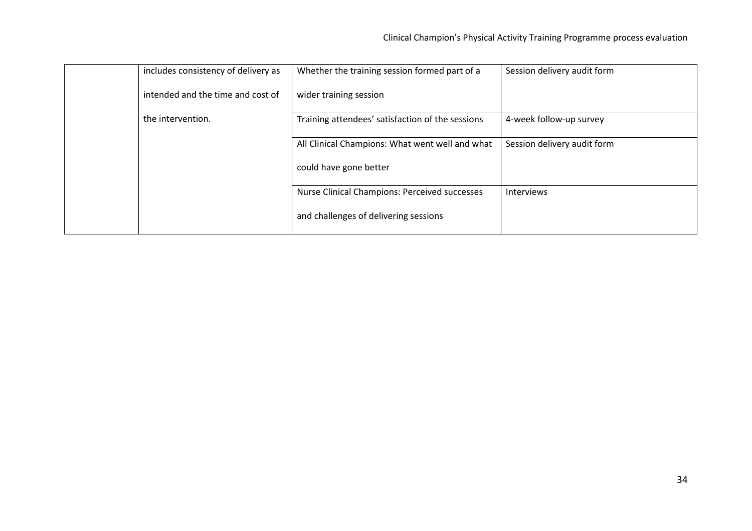| includes consistency of delivery as | Whether the training session formed part of a        | Session delivery audit form |
|-------------------------------------|------------------------------------------------------|-----------------------------|
| intended and the time and cost of   | wider training session                               |                             |
| the intervention.                   | Training attendees' satisfaction of the sessions     | 4-week follow-up survey     |
|                                     | All Clinical Champions: What went well and what      | Session delivery audit form |
|                                     | could have gone better                               |                             |
|                                     | <b>Nurse Clinical Champions: Perceived successes</b> | Interviews                  |
|                                     | and challenges of delivering sessions                |                             |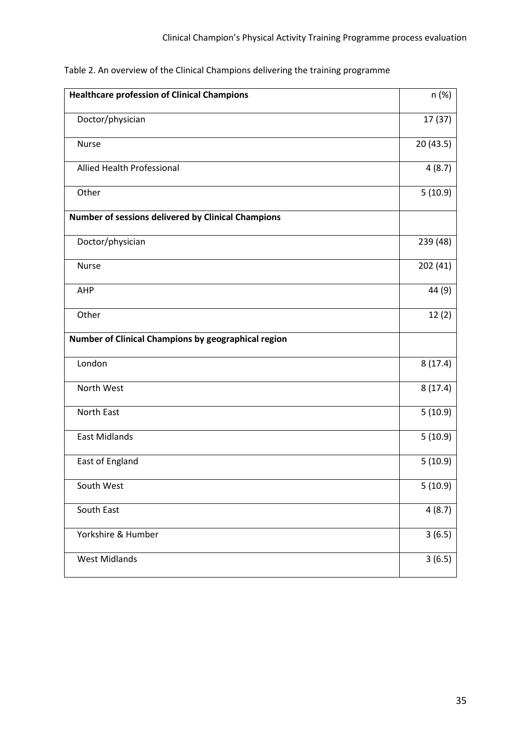Table 2. An overview of the Clinical Champions delivering the training programme

| <b>Healthcare profession of Clinical Champions</b>  | n (%)     |
|-----------------------------------------------------|-----------|
| Doctor/physician                                    | 17(37)    |
| <b>Nurse</b>                                        | 20 (43.5) |
| Allied Health Professional                          | 4(8.7)    |
| Other                                               | 5(10.9)   |
| Number of sessions delivered by Clinical Champions  |           |
| Doctor/physician                                    | 239 (48)  |
| <b>Nurse</b>                                        | 202(41)   |
| AHP                                                 | 44 (9)    |
| Other                                               | 12(2)     |
| Number of Clinical Champions by geographical region |           |
| London                                              | 8(17.4)   |
| North West                                          | 8(17.4)   |
| North East                                          | 5(10.9)   |
| <b>East Midlands</b>                                | 5(10.9)   |
| East of England                                     | 5(10.9)   |
| South West                                          | 5(10.9)   |
| South East                                          | 4(8.7)    |
| Yorkshire & Humber                                  | 3(6.5)    |
| <b>West Midlands</b>                                | 3(6.5)    |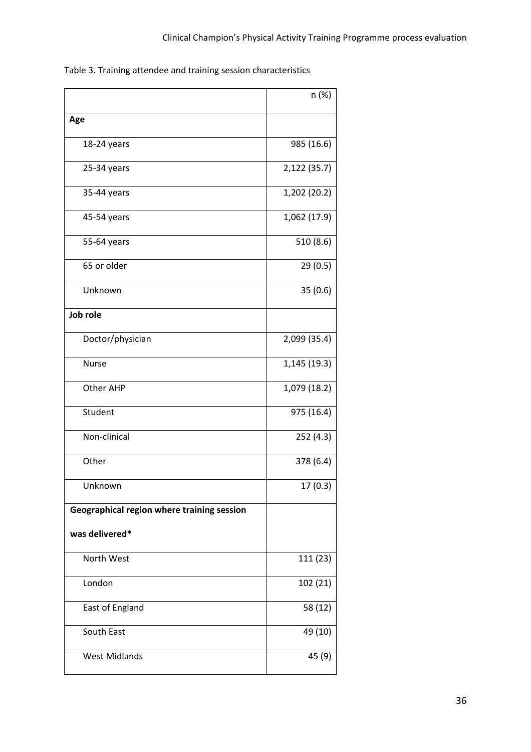Table 3. Training attendee and training session characteristics

|                                            | n (%)        |
|--------------------------------------------|--------------|
| Age                                        |              |
| 18-24 years                                | 985 (16.6)   |
| 25-34 years                                | 2,122 (35.7) |
| 35-44 years                                | 1,202 (20.2) |
| 45-54 years                                | 1,062 (17.9) |
| 55-64 years                                | 510 (8.6)    |
| 65 or older                                | 29(0.5)      |
| Unknown                                    | 35(0.6)      |
| Job role                                   |              |
| Doctor/physician                           | 2,099 (35.4) |
| <b>Nurse</b>                               | 1,145 (19.3) |
| Other AHP                                  | 1,079 (18.2) |
| Student                                    | 975 (16.4)   |
| Non-clinical                               | 252 (4.3)    |
| Other                                      | 378 (6.4)    |
| Unknown                                    | 17(0.3)      |
| Geographical region where training session |              |
| was delivered*                             |              |
| North West                                 | 111 (23)     |
| London                                     | 102 (21)     |
| East of England                            | 58 (12)      |
| South East                                 | 49 (10)      |
| <b>West Midlands</b>                       | 45 (9)       |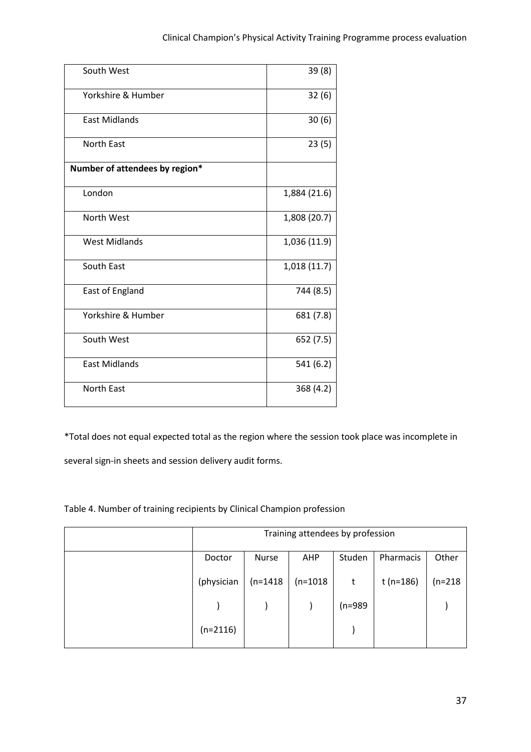| South West                     | 39(8)        |
|--------------------------------|--------------|
| Yorkshire & Humber             | 32(6)        |
| <b>East Midlands</b>           | 30(6)        |
| <b>North East</b>              | 23(5)        |
| Number of attendees by region* |              |
| London                         | 1,884 (21.6) |
| North West                     | 1,808 (20.7) |
| <b>West Midlands</b>           | 1,036 (11.9) |
| South East                     | 1,018 (11.7) |
| East of England                | 744 (8.5)    |
| Yorkshire & Humber             | 681 (7.8)    |
| South West                     | 652 (7.5)    |
| <b>East Midlands</b>           | 541 (6.2)    |
| <b>North East</b>              | 368 (4.2)    |

\*Total does not equal expected total as the region where the session took place was incomplete in

several sign-in sheets and session delivery audit forms.

Table 4. Number of training recipients by Clinical Champion profession

| Training attendees by profession |            |            |           |           |           |
|----------------------------------|------------|------------|-----------|-----------|-----------|
| Doctor                           | Nurse      | <b>AHP</b> | Studen    | Pharmacis | Other     |
| (physician                       | $(n=1418)$ | $(n=1018)$ | t         | t (n=186) | $(n=218)$ |
|                                  |            |            | $(n=989)$ |           |           |
| $(n=2116)$                       |            |            |           |           |           |